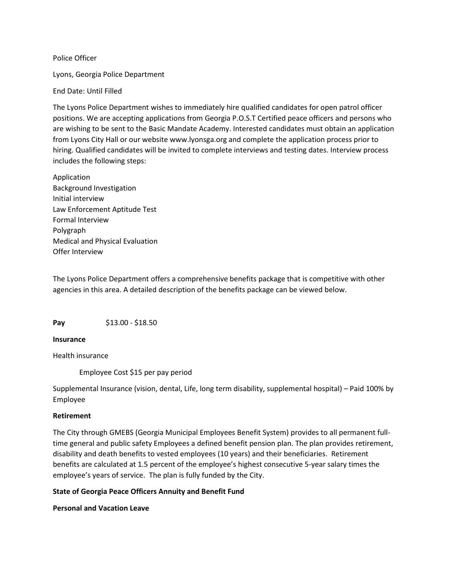Police Officer

Lyons, Georgia Police Department

End Date: Until Filled

The Lyons Police Department wishes to immediately hire qualified candidates for open patrol officer positions. We are accepting applications from Georgia P.O.S.T Certified peace officers and persons who are wishing to be sent to the Basic Mandate Academy. Interested candidates must obtain an application from Lyons City Hall or our website www.lyonsga.org and complete the application process prior to hiring. Qualified candidates will be invited to complete interviews and testing dates. Interview process includes the following steps:

Application Background Investigation Initial interview Law Enforcement Aptitude Test Formal Interview Polygraph Medical and Physical Evaluation Offer Interview

The Lyons Police Department offers a comprehensive benefits package that is competitive with other agencies in this area. A detailed description of the benefits package can be viewed below.

**Pay** \$13.00 - \$18.50

## **Insurance**

Health insurance

Employee Cost \$15 per pay period

Supplemental Insurance (vision, dental, Life, long term disability, supplemental hospital) – Paid 100% by Employee

## **Retirement**

The City through GMEBS (Georgia Municipal Employees Benefit System) provides to all permanent fulltime general and public safety Employees a defined benefit pension plan. The plan provides retirement, disability and death benefits to vested employees (10 years) and their beneficiaries. Retirement benefits are calculated at 1.5 percent of the employee's highest consecutive 5-year salary times the employee's years of service. The plan is fully funded by the City.

## **State of Georgia Peace Officers Annuity and Benefit Fund**

**Personal and Vacation Leave**